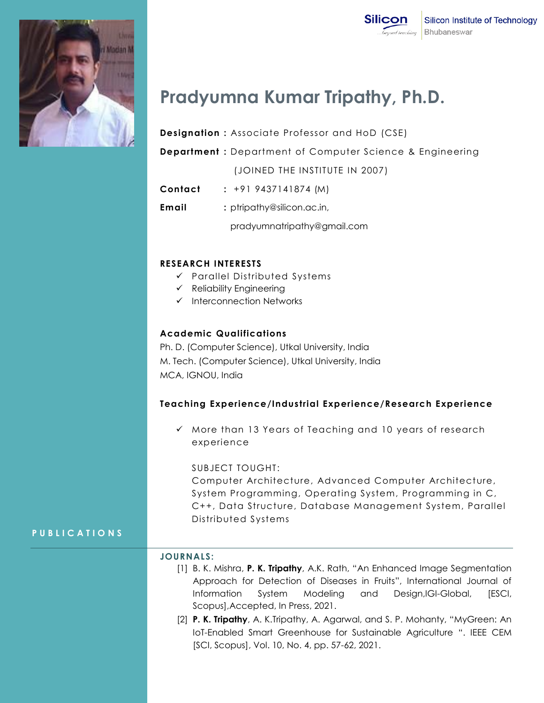

# **Pradyumna Kumar Tripathy, Ph.D.**

**Designation :** Associate Professor and HoD (CSE)

**Department :** Department of Computer Science & Engineering

(JOINED THE INSTITUTE IN 2007)

- **Contact :** +91 9437141874 (M)
- **Email** : ptripathy@silicon.ac.in,

pradyumnatripathy@gmail.com

#### **RESEARCH INTERESTS**

- Parallel Distributed Systems
- $\checkmark$  Reliability Engineering
- $\checkmark$  Interconnection Networks

#### **Academic Qualifications**

Ph. D. (Computer Science), Utkal University, India M. Tech. (Computer Science), Utkal University, India MCA, IGNOU, India

#### **Teaching Experience/Industrial Experience/Research Experience**

 $\checkmark$  More than 13 Years of Teaching and 10 years of research experience

#### SUBJECT TOUGHT:

Computer Architecture, Advanced Computer Architecture, System Programming, Operating System, Programming in C, C++, Data Structure, Database Management System, Parallel Distributed Systems

### **P U B L I C A T I O N S**

#### **JOURNALS:**

- [1] B. K. Mishra, **P. K. Tripathy**, A.K. Rath, "An Enhanced Image Segmentation Approach for Detection of Diseases in Fruits", International Journal of Information System Modeling and Design,IGI-Global, [ESCI, Scopus],Accepted, In Press, 2021.
- [2] **P. K. Tripathy**, A. K.Tripathy, A. Agarwal, and S. P. Mohanty, "MyGreen: An IoT-Enabled Smart Greenhouse for Sustainable Agriculture ". IEEE CEM [SCI, Scopus], Vol. 10, No. 4, pp. 57-62, 2021.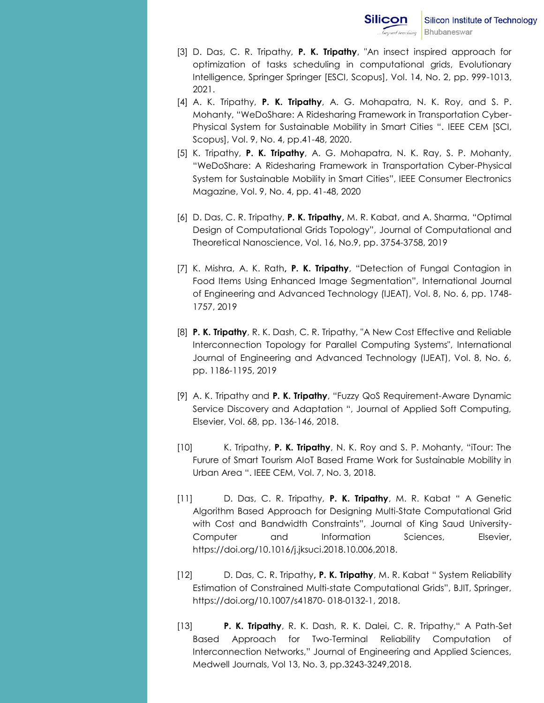- [3] D. Das, C. R. Tripathy, **P. K. Tripathy**, "An insect inspired approach for optimization of tasks scheduling in computational grids, Evolutionary Intelligence, Springer Springer [ESCI, Scopus], Vol. 14, No. 2, pp. 999-1013, 2021.
- [4] A. K. Tripathy, **P. K. Tripathy**, A. G. Mohapatra, N. K. Roy, and S. P. Mohanty, "WeDoShare: A Ridesharing Framework in Transportation Cyber-Physical System for Sustainable Mobility in Smart Cities ". IEEE CEM [SCI, Scopus], Vol. 9, No. 4, pp.41-48, 2020.
- [5] K. Tripathy, **P. K. Tripathy**, A. G. Mohapatra, N. K. Ray, S. P. Mohanty, "WeDoShare: A Ridesharing Framework in Transportation Cyber-Physical System for Sustainable Mobility in Smart Cities", IEEE Consumer Electronics Magazine, Vol. 9, No. 4, pp. 41-48, 2020
- [6] D. Das, C. R. Tripathy, **P. K. Tripathy,** M. R. Kabat, and A. Sharma, "Optimal Design of Computational Grids Topology", Journal of Computational and Theoretical Nanoscience, Vol. 16, No.9, pp. 3754-3758, 2019
- [7] K. Mishra, A. K. Rath**, P. K. Tripathy**, "Detection of Fungal Contagion in Food Items Using Enhanced Image Segmentation", International Journal of Engineering and Advanced Technology (IJEAT), Vol. 8, No. 6, pp. 1748- 1757, 2019
- [8] **P. K. Tripathy**, R. K. Dash, C. R. Tripathy, "A New Cost Effective and Reliable Interconnection Topology for Parallel Computing Systems", International Journal of Engineering and Advanced Technology (IJEAT), Vol. 8, No. 6, pp. 1186-1195, 2019
- [9] A. K. Tripathy and **P. K. Tripathy**, "Fuzzy QoS Requirement-Aware Dynamic Service Discovery and Adaptation ", Journal of Applied Soft Computing, Elsevier, Vol. 68, pp. 136-146, 2018.
- [10] K. Tripathy, **P. K. Tripathy**, N. K. Roy and S. P. Mohanty, "iTour: The Furure of Smart Tourism AIoT Based Frame Work for Sustainable Mobility in Urban Area ". IEEE CEM, Vol. 7, No. 3, 2018.
- [11] D. Das, C. R. Tripathy, **P. K. Tripathy**, M. R. Kabat " A Genetic Algorithm Based Approach for Designing Multi-State Computational Grid with Cost and Bandwidth Constraints", Journal of King Saud University-Computer and Information Sciences, Elsevier, [https://doi.org/10.1016/j.jksuci.2018.10.006,2018.](https://doi.org/10.1016/j.jksuci.2018.10.006,2018)
- [12] D. Das, C. R. Tripathy**, P. K. Tripathy**, M. R. Kabat " System Reliability Estimation of Constrained Multi-state Computational Grids", BJIT, Springer, https://doi.org/10.1007/s41870- 018-0132-1, 2018.
- [13] **P. K. Tripathy**, R. K. Dash, R. K. Dalei, C. R. Tripathy," A Path-Set Based Approach for Two-Terminal Reliability Computation of Interconnection Networks," Journal of Engineering and Applied Sciences, Medwell Journals, Vol 13, No. 3, pp.3243-3249,2018.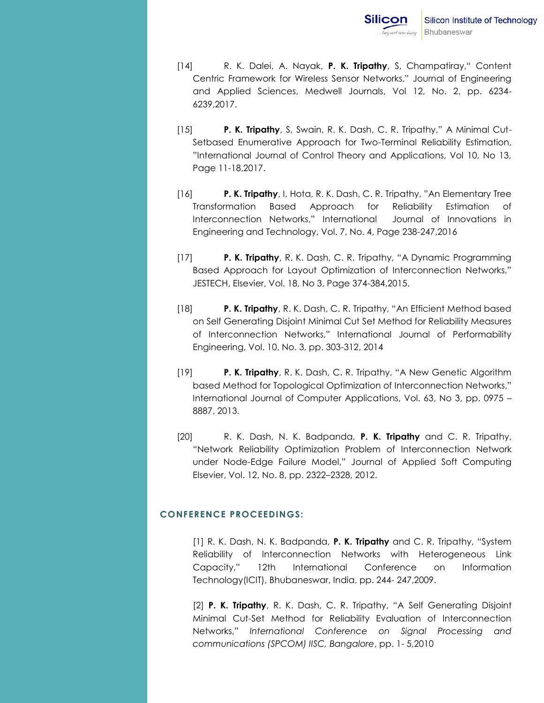- [14] R. K. Dalei, A. Nayak, **P. K. Tripathy**, S, Champatiray," Content Centric Framework for Wireless Sensor Networks," Journal of Engineering and Applied Sciences, Medwell Journals, Vol 12, No. 2, pp. 6234- 6239,2017.
- [15] **P. K. Tripathy**, S, Swain, R. K. Dash, C. R. Tripathy," A Minimal Cut-Setbased Enumerative Approach for Two-Terminal Reliability Estimation, "International Journal of Control Theory and Applications, Vol 10, No 13, Page 11-18,2017.
- [16] **P. K. Tripathy**, I, Hota, R. K. Dash, C. R. Tripathy, "An Elementary Tree Transformation Based Approach for Reliability Estimation of Interconnection Networks," International Journal of Innovations in Engineering and Technology, Vol. 7, No. 4, Page 238-247,2016
- [17] **P. K. Tripathy**, R. K. Dash, C. R. Tripathy, "A Dynamic Programming Based Approach for Layout Optimization of Interconnection Networks," JESTECH, Elsevier, Vol. 18, No 3, Page 374-384,2015.
- [18] **P. K. Tripathy**, R. K. Dash, C. R. Tripathy, "An Efficient Method based on Self Generating Disjoint Minimal Cut Set Method for Reliability Measures of Interconnection Networks," International Journal of Performability Engineering, Vol. 10, No. 3, pp. 303-312, 2014
- [19] **P. K. Tripathy**, R. K. Dash, C. R. Tripathy, "A New Genetic Algorithm based Method for Topological Optimization of Interconnection Networks," International Journal of Computer Applications, Vol. 63, No 3, pp. 0975 – 8887, 2013.
- [20] R. K. Dash, N. K. Badpanda, **P. K. Tripathy** and C. R. Tripathy, "Network Reliability Optimization Problem of Interconnection Network under Node-Edge Failure Model," Journal of Applied Soft Computing Elsevier, Vol. 12, No. 8, pp. 2322–2328, 2012.

#### **CONFERENCE PROCEEDINGS:**

[1] R. K. Dash, N. K. Badpanda, **P. K. Tripathy** and C. R. Tripathy, "System Reliability of Interconnection Networks with Heterogeneous Link Capacity," 12th International Conference on Information Technology(ICIT), Bhubaneswar, India, pp. 244- 247,2009.

[2] **P. K. Tripathy**, R. K. Dash, C. R. Tripathy, "A Self Generating Disjoint Minimal Cut-Set Method for Reliability Evaluation of Interconnection Networks," *International Conference on Signal Processing and communications (SPCOM) IISC, Bangalore*, pp. 1- 5,2010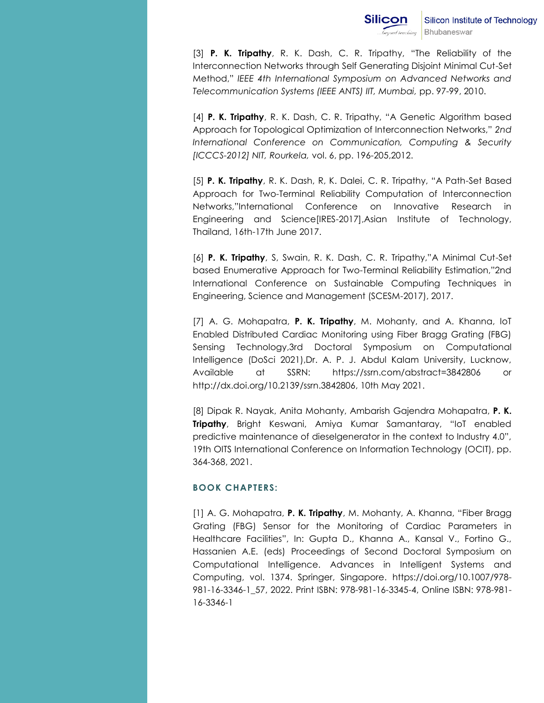[3] **P. K. Tripathy**, R. K. Dash, C. R. Tripathy, "The Reliability of the Interconnection Networks through Self Generating Disjoint Minimal Cut-Set Method," *IEEE 4th International Symposium on Advanced Networks and Telecommunication Systems (IEEE ANTS) IIT, Mumbai,* pp. 97-99, 2010.

[4] **P. K. Tripathy**, R. K. Dash, C. R. Tripathy, "A Genetic Algorithm based Approach for Topological Optimization of Interconnection Networks," *2nd International Conference on Communication, Computing & Security [ICCCS-2012] NIT, Rourkela,* vol. 6, pp. 196-205,2012.

[5] **P. K. Tripathy**, R. K. Dash, R, K. Dalei, C. R. Tripathy, "A Path-Set Based Approach for Two-Terminal Reliability Computation of Interconnection Networks,"International Conference on Innovative Research in Engineering and Science[IRES-2017],Asian Institute of Technology, Thailand, 16th-17th June 2017.

[6] **P. K. Tripathy**, S, Swain, R. K. Dash, C. R. Tripathy,"A Minimal Cut-Set based Enumerative Approach for Two-Terminal Reliability Estimation,"2nd International Conference on Sustainable Computing Techniques in Engineering, Science and Management (SCESM-2017), 2017.

[7] A. G. Mohapatra, **P. K. Tripathy**, M. Mohanty, and A. Khanna, IoT Enabled Distributed Cardiac Monitoring using Fiber Bragg Grating (FBG) Sensing Technology,3rd Doctoral Symposium on Computational Intelligence (DoSci 2021),Dr. A. P. J. Abdul Kalam University, Lucknow, Available at SSRN: https://ssrn.com/abstract=3842806 or http://dx.doi.org/10.2139/ssrn.3842806, 10th May 2021.

[8] Dipak R. Nayak, Anita Mohanty, Ambarish Gajendra Mohapatra, **P. K. Tripathy**, Bright Keswani, Amiya Kumar Samantaray, "IoT enabled predictive maintenance of dieselgenerator in the context to Industry 4.0", 19th OITS International Conference on Information Technology (OCIT), pp. 364-368, 2021.

#### **BOOK CHAPTERS:**

[1] A. G. Mohapatra, **P. K. Tripathy**, M. Mohanty, A. Khanna, "Fiber Bragg Grating (FBG) Sensor for the Monitoring of Cardiac Parameters in Healthcare Facilities", In: Gupta D., Khanna A., Kansal V., Fortino G., Hassanien A.E. (eds) Proceedings of Second Doctoral Symposium on Computational Intelligence. Advances in Intelligent Systems and Computing, vol. 1374. Springer, Singapore. [https://doi.org/10.1007/978-](https://doi.org/10.1007/978-981-16-3346-1_57) [981-16-3346-1\\_57,](https://doi.org/10.1007/978-981-16-3346-1_57) 2022. Print ISBN: 978-981-16-3345-4, Online ISBN: 978-981- 16-3346-1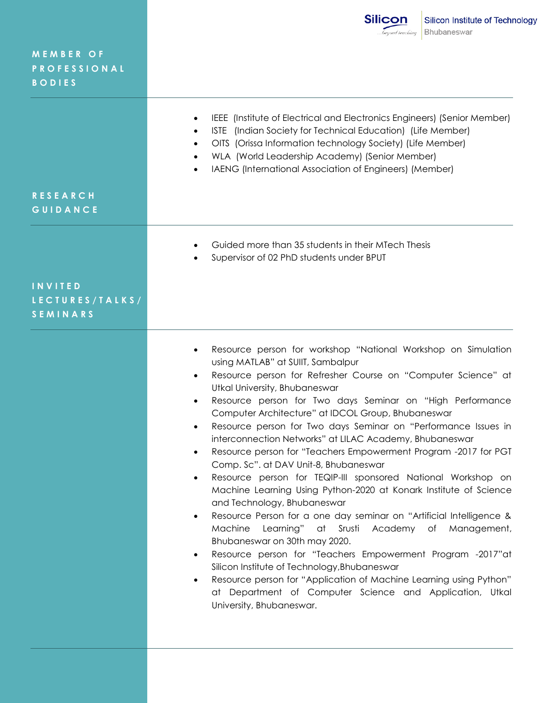**M E M B E R O F P R O F E S S I O N A L B O D I E S**

- IEEE (Institute of Electrical and Electronics Engineers) (Senior Member)
- ISTE (Indian Society for Technical Education) (Life Member)
- OITS (Orissa Information technology Society) (Life Member)
- WLA (World Leadership Academy) (Senior Member)
- IAENG (International Association of Engineers) (Member)

# **R E S E A R C H G U I D A N C E**

- Guided more than 35 students in their MTech Thesis
- Supervisor of 02 PhD students under BPUT

# **I N V I T E D L E C T U R E S / T A L K S / S E M I N A R S**

- Resource person for workshop "National Workshop on Simulation using MATLAB" at SUIIT, Sambalpur
- Resource person for Refresher Course on "Computer Science" at Utkal University, Bhubaneswar
- Resource person for Two days Seminar on "High Performance Computer Architecture" at IDCOL Group, Bhubaneswar
- Resource person for Two days Seminar on "Performance Issues in interconnection Networks" at LILAC Academy, Bhubaneswar
- Resource person for "Teachers Empowerment Program -2017 for PGT Comp. Sc". at DAV Unit-8, Bhubaneswar
- Resource person for TEQIP-III sponsored National Workshop on Machine Learning Using Python-2020 at Konark Institute of Science and Technology, Bhubaneswar
- Resource Person for a one day seminar on "Artificial Intelligence & Machine Learning" at Srusti Academy of Management, Bhubaneswar on 30th may 2020.
- Resource person for "Teachers Empowerment Program -2017"at Silicon Institute of Technology,Bhubaneswar
- Resource person for "Application of Machine Learning using Python" at Department of Computer Science and Application, Utkal University, Bhubaneswar.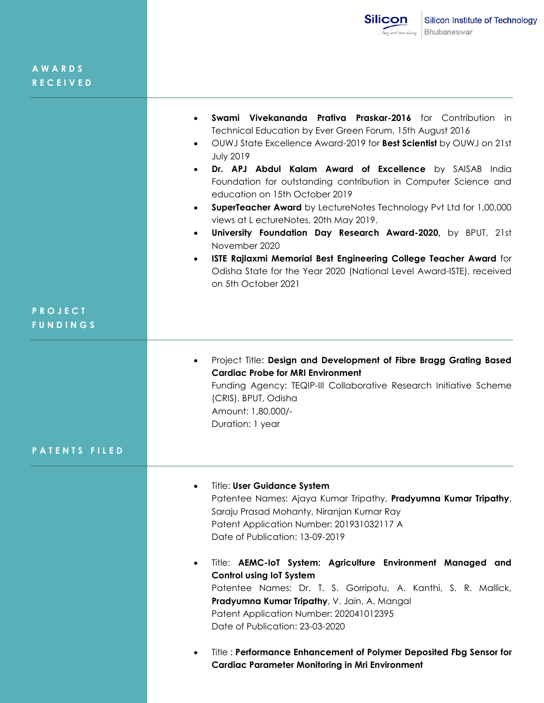| Swami Vivekananda Prativa Praskar-2016 for Contribution in<br>$\bullet$          |
|----------------------------------------------------------------------------------|
| Technical Education by Ever Green Forum, 15th August 2016                        |
| OUWJ State Excellence Award-2019 for Best Scientist by OUWJ on 21st<br>$\bullet$ |
| <b>July 2019</b>                                                                 |
| Dr. APJ Abdul Kalam Award of Excellence by SAISAB India<br>$\bullet$             |
| Foundation for outstanding contribution in Computer Science and                  |
| education on 15th October 2019                                                   |
| SuperTeacher Award by LectureNotes Technology Pvt Ltd for 1,00,000<br>$\bullet$  |
| views at L ectureNotes, 20th May 2019.                                           |

- **University Foundation Day Research Award-2020,** by BPUT, 21st November 2020
- **ISTE Rajlaxmi Memorial Best Engineering College Teacher Award** for Odisha State for the Year 2020 (National Level Award-ISTE), received on 5th October 2021

# **P R O J E C T F U N D I N G S**

 Project Title: **Design and Development of Fibre Bragg Grating Based Cardiac Probe for MRI Environment** Funding Agency: TEQIP-III Collaborative Research Initiative Scheme (CRIS), BPUT, Odisha Amount: 1,80,000/- Duration: 1 year

#### **P A T E N T S F I L E D**

- Title: **User Guidance System** Patentee Names: Ajaya Kumar Tripathy, **Pradyumna Kumar Tripathy**, Saraju Prasad Mohanty, Niranjan Kumar Ray Patent Application Number: 201931032117 A Date of Publication: 13-09-2019
- Title: **AEMC-IoT System: Agriculture Environment Managed and Control using IoT System** Patentee Names: Dr. T. S. Gorripotu, A. Kanthi, S. R. Mallick, **Pradyumna Kumar Tripathy**, V. Jain, A. Mangal Patent Application Number: 202041012395 Date of Publication: 23-03-2020
- Title : **Performance Enhancement of Polymer Deposited Fbg Sensor for Cardiac Parameter Monitoring in Mri Environment**